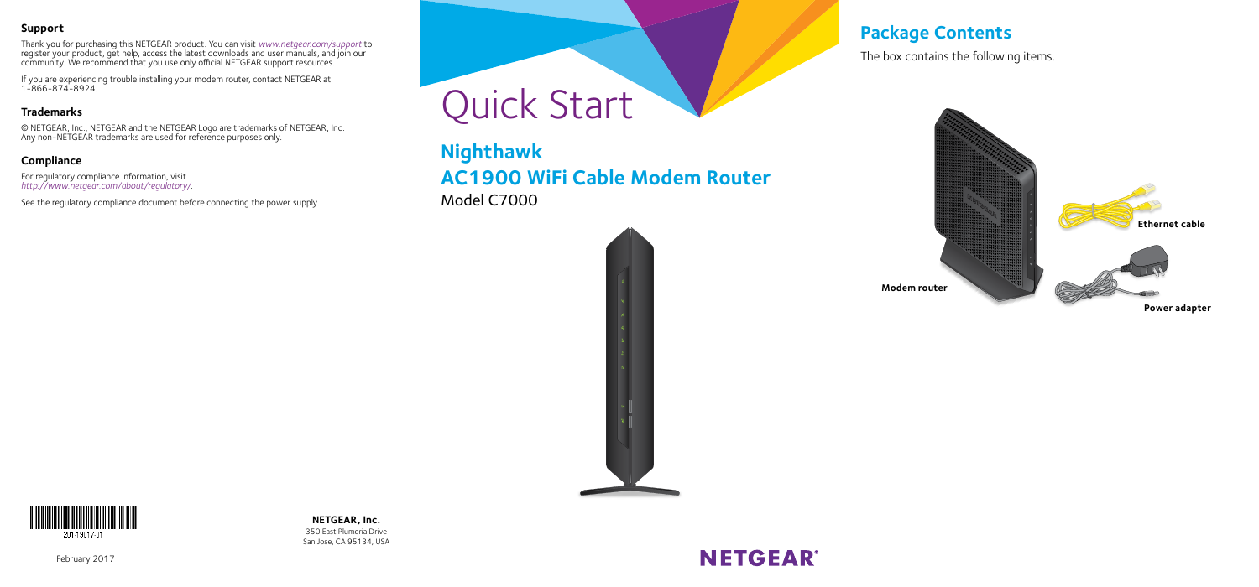#### **Support**

Thank you for purchasing this NETGEAR product. You can visit *<www.netgear.com/support>* to register your product, get help, access the latest downloads and user manuals, and join our community. We recommend that you use only official NETGEAR support resources.

If you are experiencing trouble installing your modem router, contact NETGEAR at 1-866-874-8924.

#### **Trademarks**

© NETGEAR, Inc., NETGEAR and the NETGEAR Logo are trademarks of NETGEAR, Inc. Any non-NETGEAR trademarks are used for reference purposes only.

#### **Compliance**

For regulatory compliance information, visit *[http://www.netgear.com/about/regulatory](http://www.netgear.com/about/regulatory/)/*.

See the regulatory compliance document before connecting the power supply.



**Nighthawk AC1900 WiFi Cable Modem Router** Model C7000



### **Package Contents**

The box contains the following items.





**NETGEAR, Inc.** 350 East Plumeria Drive San Jose, CA 95134, USA

# **NETGEAR®**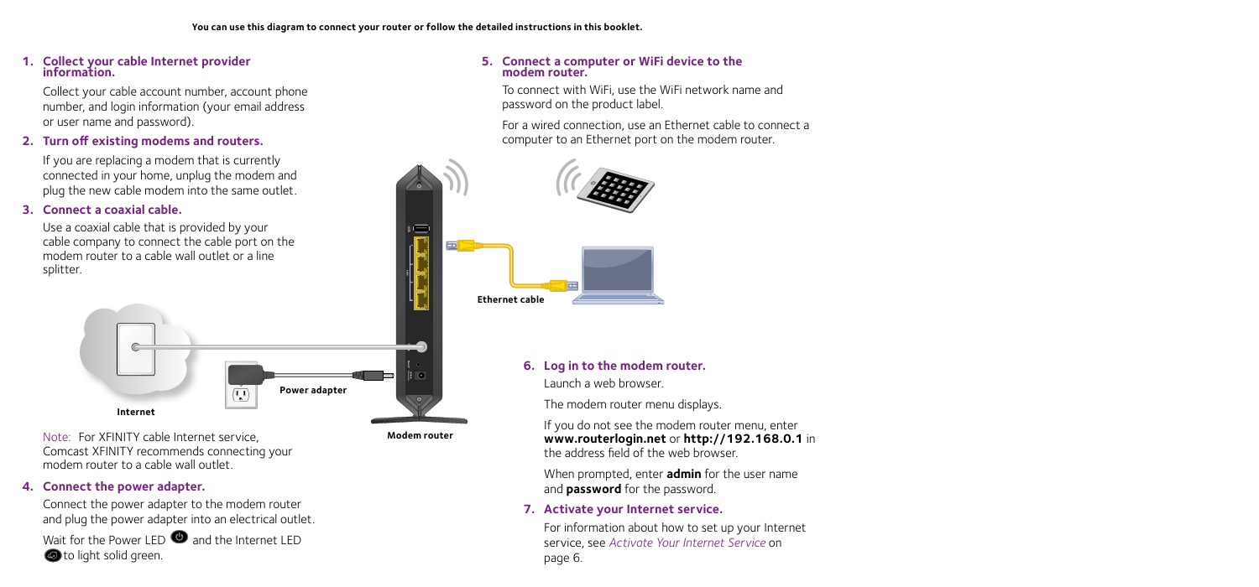**Modem router**

#### **1. Collect your cable Internet provider information.**

Collect your cable account number, account phone number, and login information (your email address or user name and password).

#### **2. Turn off existing modems and routers.**

If you are replacing a modem that is currently connected in your home, unplug the modem and plug the new cable modem into the same outlet.

#### **3. Connect a coaxial cable.**

Use a coaxial cable that is provided by your cable company to connect the cable port on the modem router to a cable wall outlet or a line splitter.



Note: For XFINITY cable Internet service, Comcast XFINITY recommends connecting your modem router to a cable wall outlet.

#### **4. Connect the power adapter.**

Connect the power adapter to the modem router and plug the power adapter into an electrical outlet. Wait for the Power LED  $\bullet$  and the Internet LED to light solid green.

#### **5. Connect a computer or WiFi device to the modem router.**

To connect with WiFi, use the WiFi network name and password on the product label.

For a wired connection, use an Ethernet cable to connect a computer to an Ethernet port on the modem router.



**6. Log in to the modem router.** Launch a web browser.

The modem router menu displays.

If you do not see the modem router menu, enter **www.routerlogin.net** or **http://192.168.0.1** in the address field of the web browser.

When prompted, enter **admin** for the user name and **password** for the password.

#### **7. Activate your Internet service.**

For information about how to set up your Internet service, see *Activate Your Internet Service* on page 6.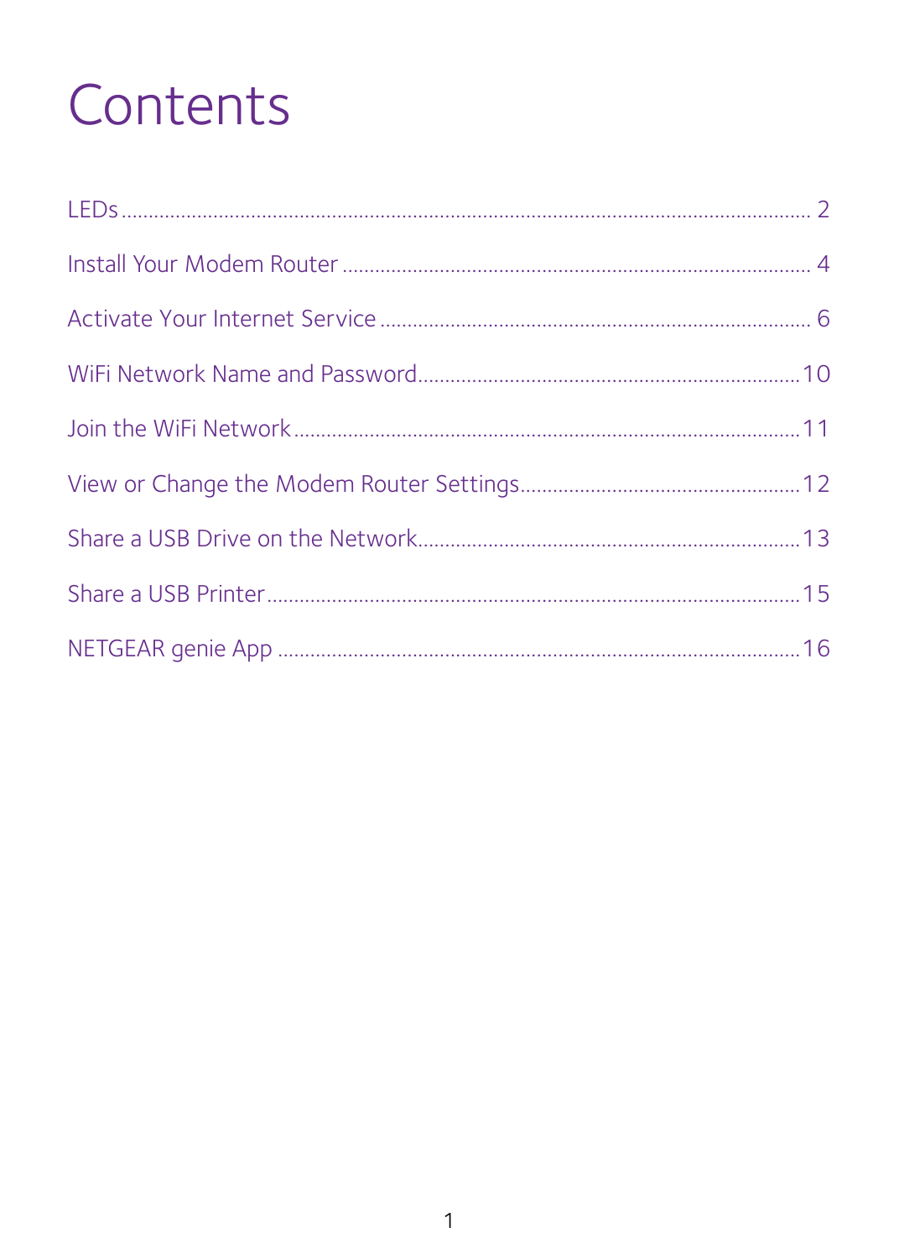# Contents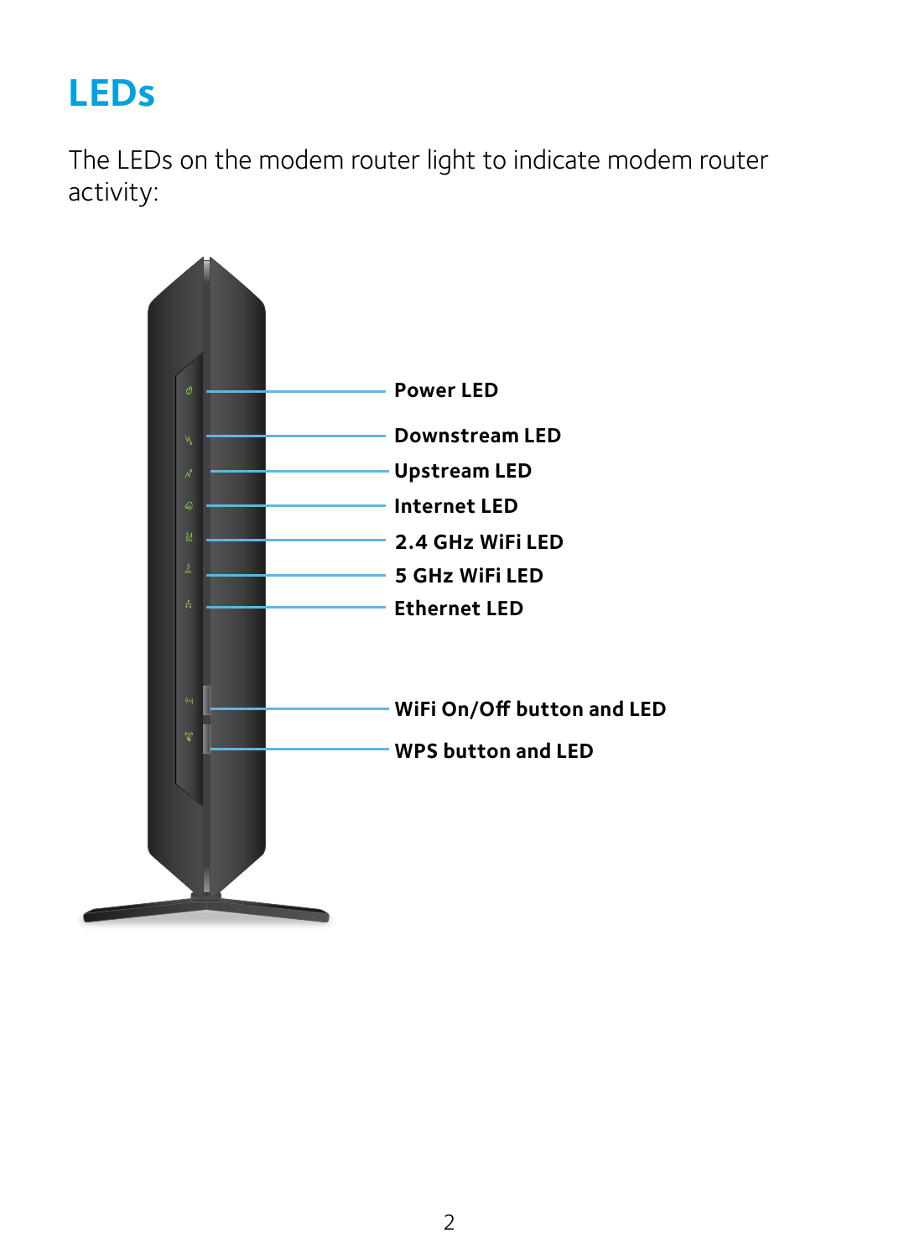### <span id="page-3-0"></span>**LEDs**

The LEDs on the modem router light to indicate modem router activity:

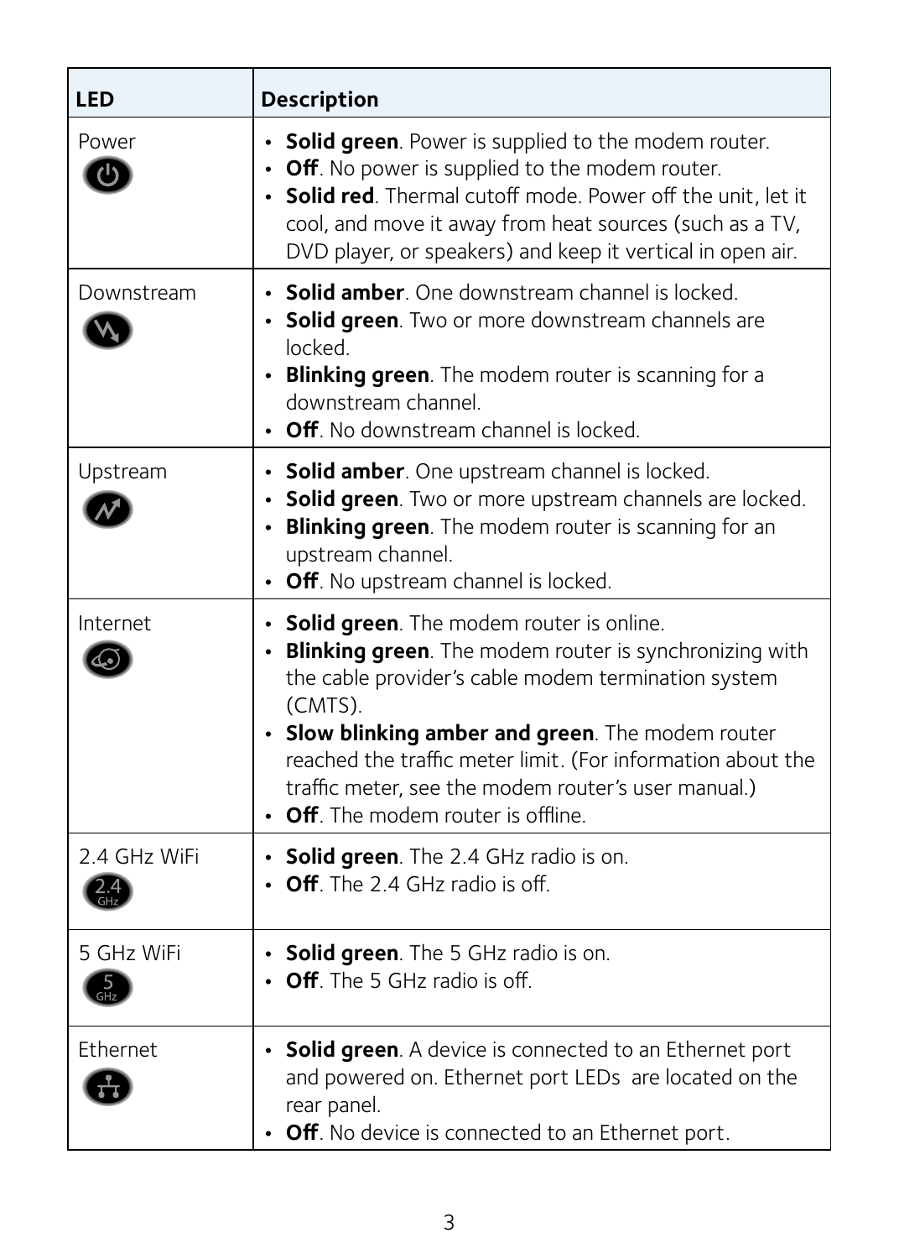| LED                          | <b>Description</b>                                                                                                                                                                                                                                                                                                                                                                         |
|------------------------------|--------------------------------------------------------------------------------------------------------------------------------------------------------------------------------------------------------------------------------------------------------------------------------------------------------------------------------------------------------------------------------------------|
| Power<br>$\mathcal{L}^{(1)}$ | • Solid green. Power is supplied to the modem router.<br>• Off. No power is supplied to the modem router.<br>• Solid red. Thermal cutoff mode. Power off the unit, let it<br>cool, and move it away from heat sources (such as a TV,<br>DVD player, or speakers) and keep it vertical in open air.                                                                                         |
| Downstream                   | • Solid amber. One downstream channel is locked.<br>• Solid green. Two or more downstream channels are<br>locked.<br>• Blinking green. The modem router is scanning for a<br>downstream channel.<br>• Off No downstream channel is locked                                                                                                                                                  |
| Upstream                     | • Solid amber. One upstream channel is locked.<br>• Solid green. Two or more upstream channels are locked.<br>• Blinking green. The modem router is scanning for an<br>upstream channel.<br>• Off. No upstream channel is locked.                                                                                                                                                          |
| Internet                     | • Solid green. The modem router is online.<br>• Blinking green. The modem router is synchronizing with<br>the cable provider's cable modem termination system<br>(CMTS).<br>• Slow blinking amber and green. The modem router<br>reached the traffic meter limit. (For information about the<br>traffic meter, see the modem router's user manual.)<br>• Off. The modem router is offline. |
| 2.4 GHz WiFi                 | • Solid green. The 2.4 GHz radio is on.<br>$\cdot$ Off. The 2.4 GHz radio is off.                                                                                                                                                                                                                                                                                                          |
| 5 GHz WiFi                   | • Solid green. The 5 GHz radio is on.<br>$\cdot$ Off. The 5 GHz radio is off.                                                                                                                                                                                                                                                                                                              |
| Fthernet                     | • Solid green. A device is connected to an Ethernet port<br>and powered on. Ethernet port LEDs are located on the<br>rear panel.<br>• Off. No device is connected to an Ethernet port.                                                                                                                                                                                                     |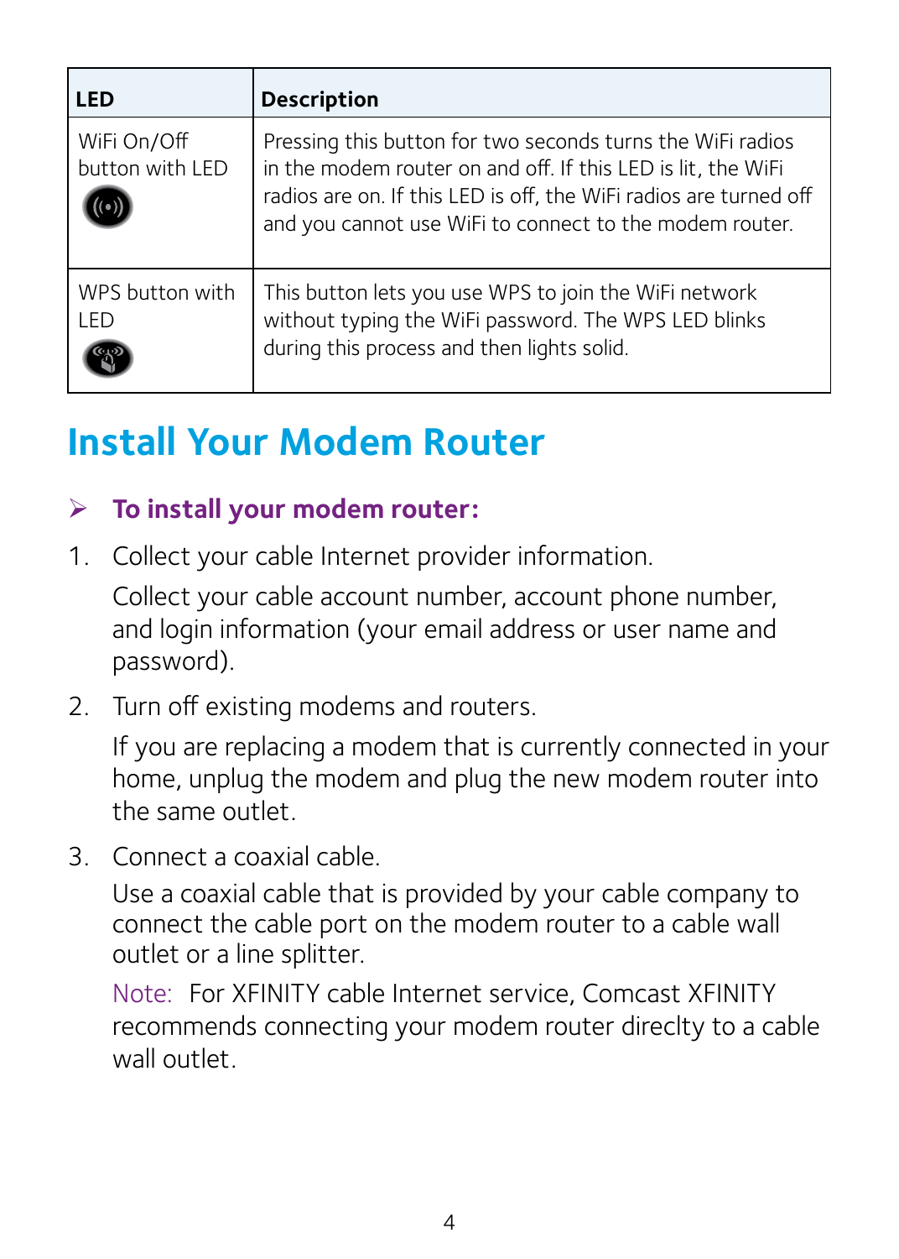<span id="page-5-0"></span>

| LED                            | <b>Description</b>                                                                                                                                                                                                                                         |
|--------------------------------|------------------------------------------------------------------------------------------------------------------------------------------------------------------------------------------------------------------------------------------------------------|
| WiFi On/Off<br>button with LED | Pressing this button for two seconds turns the WiFi radios<br>in the modem router on and off. If this LED is lit, the WiFi<br>radios are on. If this LED is off, the WiFi radios are turned off<br>and you cannot use WiFi to connect to the modem router. |
| WPS button with<br>LED         | This button lets you use WPS to join the WiFi network<br>without typing the WiFi password. The WPS LED blinks<br>during this process and then lights solid.                                                                                                |

### **Install Your Modem Router**

#### ¾ **To install your modem router:**

1. Collect your cable Internet provider information.

Collect your cable account number, account phone number, and login information (your email address or user name and password).

2. Turn off existing modems and routers.

If you are replacing a modem that is currently connected in your home, unplug the modem and plug the new modem router into the same outlet.

3. Connect a coaxial cable.

Use a coaxial cable that is provided by your cable company to connect the cable port on the modem router to a cable wall outlet or a line splitter.

Note: For XFINITY cable Internet service, Comcast XFINITY recommends connecting your modem router direclty to a cable wall outlet.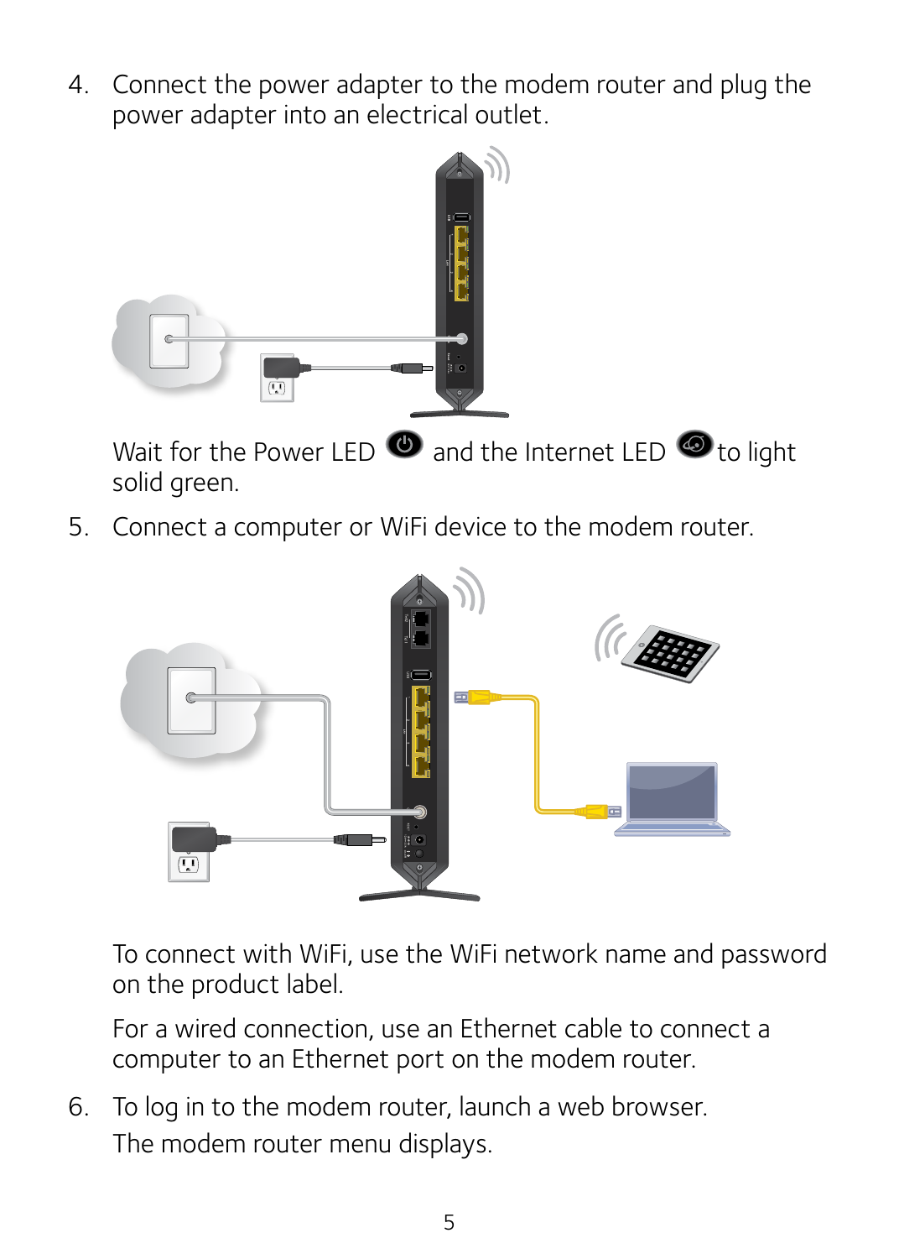4. Connect the power adapter to the modem router and plug the power adapter into an electrical outlet.



Wait for the Power LED  $\bullet$  and the Internet LED  $\bullet$  to light solid green.

5. Connect a computer or WiFi device to the modem router.



To connect with WiFi, use the WiFi network name and password on the product label.

For a wired connection, use an Ethernet cable to connect a computer to an Ethernet port on the modem router.

6. To log in to the modem router, launch a web browser. The modem router menu displays.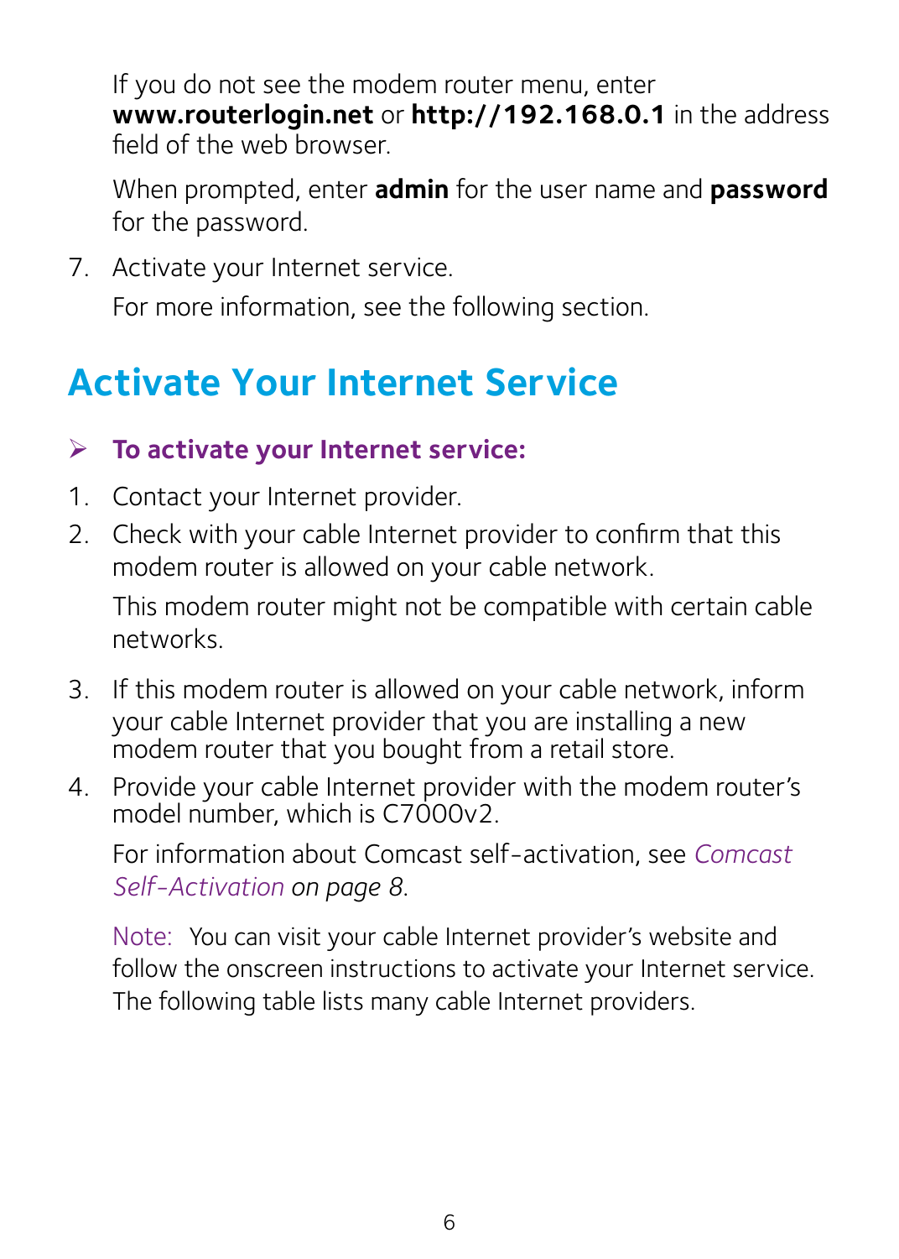<span id="page-7-0"></span>If you do not see the modem router menu, enter **www.routerlogin.net** or **http://192.168.0.1** in the address field of the web browser.

When prompted, enter **admin** for the user name and **password** for the password.

7. Activate your Internet service.

For more information, see the following section.

### **Activate Your Internet Service**

#### ¾ **To activate your Internet service:**

- 1. Contact your Internet provider.
- 2. Check with your cable Internet provider to confirm that this modem router is allowed on your cable network.

This modem router might not be compatible with certain cable networks.

- 3. If this modem router is allowed on your cable network, inform your cable Internet provider that you are installing a new modem router that you bought from a retail store.
- 4. Provide your cable Internet provider with the modem router's model number, which is C7000v2.

For information about Comcast self-activation, see *Comcast Self-Activation on page 8*.

Note: You can visit your cable Internet provider's website and follow the onscreen instructions to activate your Internet service. The following table lists many cable Internet providers.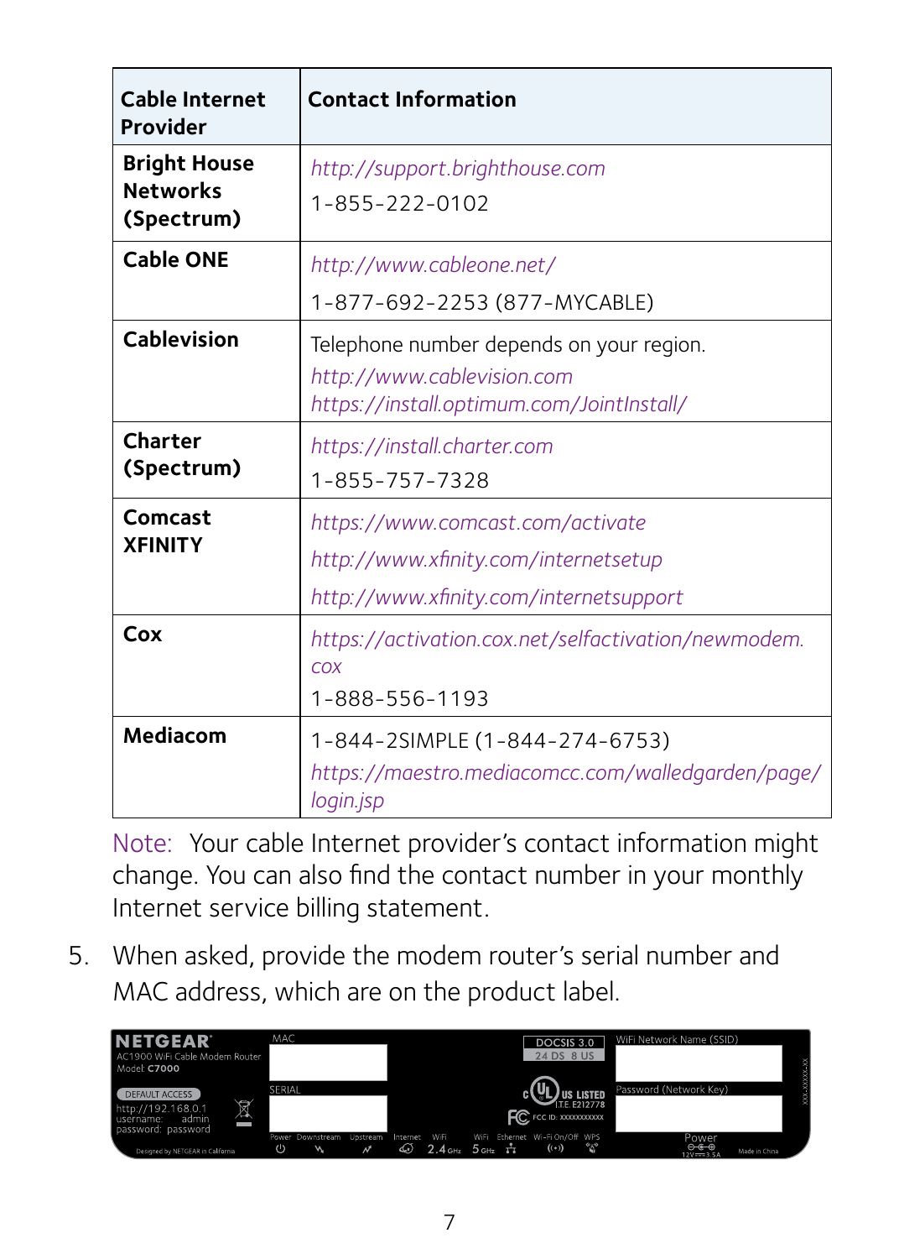| <b>Cable Internet</b><br>Provider                    | <b>Contact Information</b>                                                                                          |
|------------------------------------------------------|---------------------------------------------------------------------------------------------------------------------|
| <b>Bright House</b><br><b>Networks</b><br>(Spectrum) | http://support.brighthouse.com<br>$1 - 855 - 222 - 0102$                                                            |
| <b>Cable ONE</b>                                     | http://www.cableone.net/<br>1-877-692-2253 (877-MYCABLE)                                                            |
| Cablevision                                          | Telephone number depends on your region.<br>http://www.cablevision.com<br>https://install.optimum.com/JointInstall/ |
| Charter<br>(Spectrum)                                | https://install.charter.com<br>1-855-757-7328                                                                       |
| Comcast<br><b>XFINITY</b>                            | https://www.comcast.com/activate<br>http://www.xfinity.com/internetsetup<br>http://www.xfinity.com/internetsupport  |
| Cox                                                  | https://activation.cox.net/selfactivation/newmodem.<br>COX<br>1-888-556-1193                                        |
| Mediacom                                             | 1-844-2SIMPLE (1-844-274-6753)<br>https://maestro.mediacomcc.com/walledgarden/page/<br>login.jsp                    |

Note: Your cable Internet provider's contact information might change. You can also find the contact number in your monthly Internet service billing statement.

5. When asked, provide the modem router's serial number and MAC address, which are on the product label.

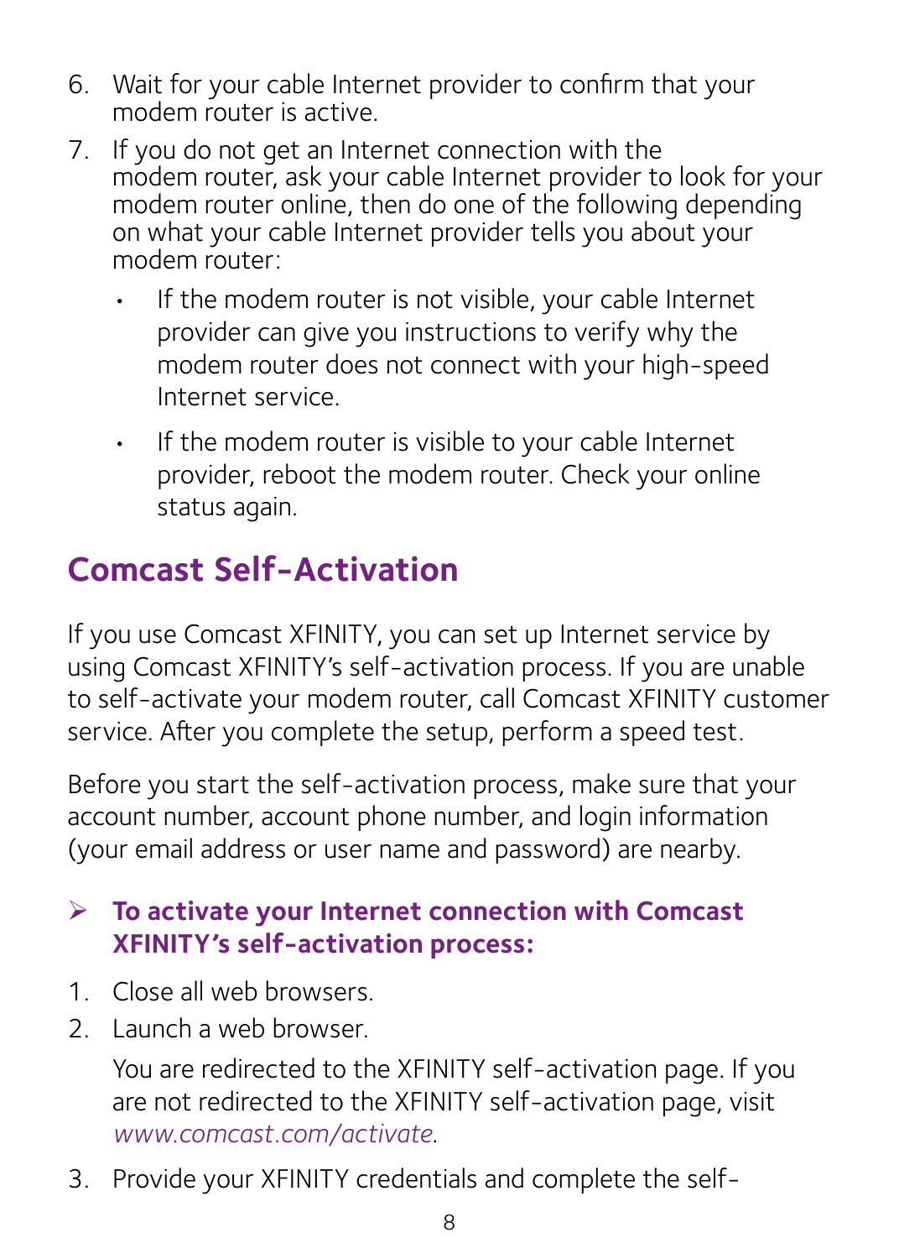- 6. Wait for your cable Internet provider to confirm that your modem router is active.
- 7. If you do not get an Internet connection with the modem router, ask your cable Internet provider to look for your modem router online, then do one of the following depending on what your cable Internet provider tells you about your modem router:
	- If the modem router is not visible, your cable Internet provider can give you instructions to verify why the modem router does not connect with your high-speed Internet service.
	- If the modem router is visible to your cable Internet provider, reboot the modem router. Check your online status again.

### **Comcast Self-Activation**

If you use Comcast XFINITY, you can set up Internet service by using Comcast XFINITY's self-activation process. If you are unable to self-activate your modem router, call Comcast XFINITY customer service. After you complete the setup, perform a speed test.

<span id="page-9-0"></span>Before you start the self-activation process, make sure that your account number, account phone number, and login information (your email address or user name and password) are nearby.

#### ¾ **To activate your Internet connection with Comcast XFINITY's self-activation process:**

- 1. Close all web browsers.
- 2. Launch a web browser.

You are redirected to the XFINITY self-activation page. If you are not redirected to the XFINITY self-activation page, visit *[www.comcast.com/activate](#page-9-0)*.

3. Provide your XFINITY credentials and complete the self-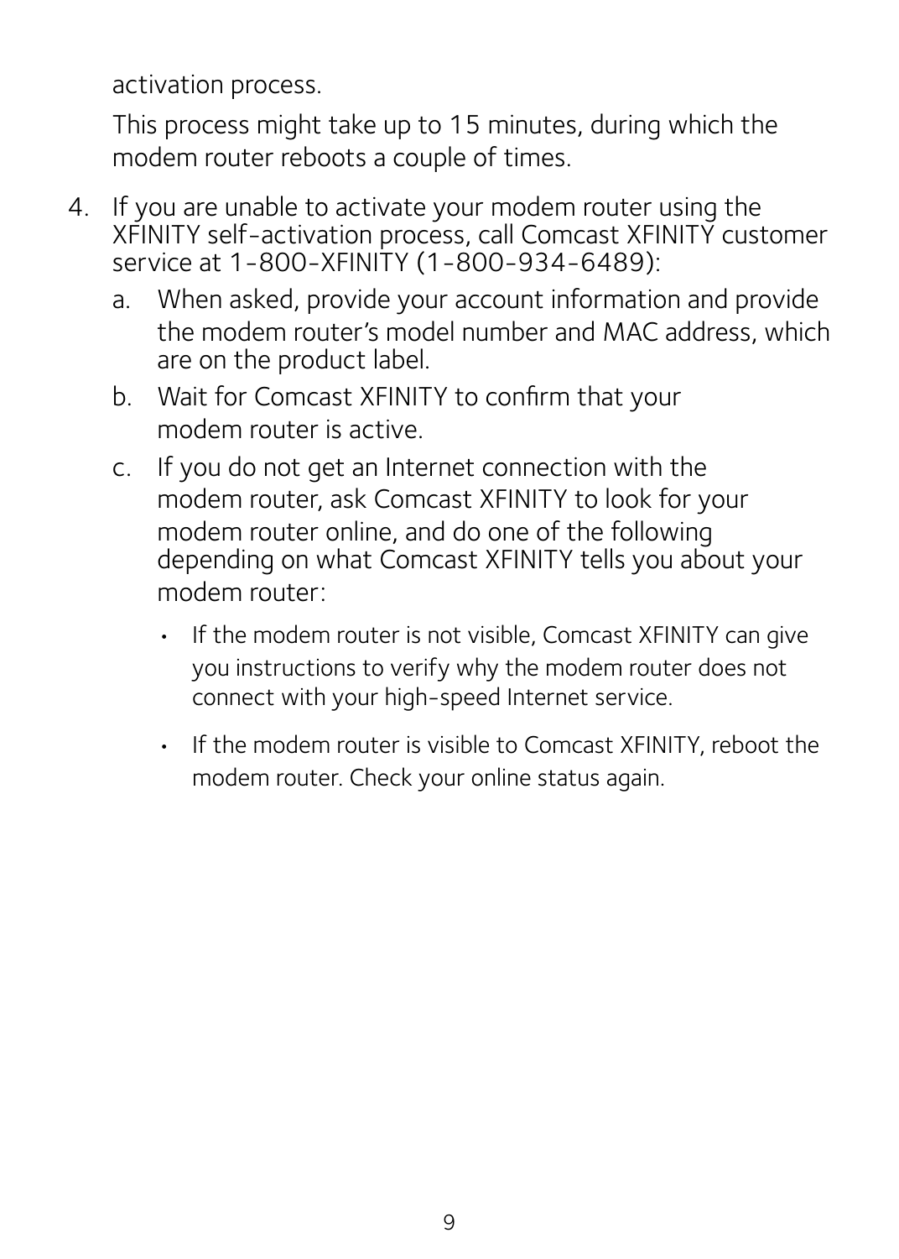activation process.

This process might take up to 15 minutes, during which the modem router reboots a couple of times.

- 4. If you are unable to activate your modem router using the XFINITY self-activation process, call Comcast XFINITY customer service at 1-800-XFINITY (1-800-934-6489):
	- a. When asked, provide your account information and provide the modem router's model number and MAC address, which are on the product label.
	- b. Wait for Comcast XFINITY to confirm that your modem router is active.
	- c. If you do not get an Internet connection with the modem router, ask Comcast XFINITY to look for your modem router online, and do one of the following depending on what Comcast XFINITY tells you about your modem router:
		- If the modem router is not visible, Comcast XFINITY can give you instructions to verify why the modem router does not connect with your high-speed Internet service.
		- If the modem router is visible to Comcast XFINITY, reboot the modem router. Check your online status again.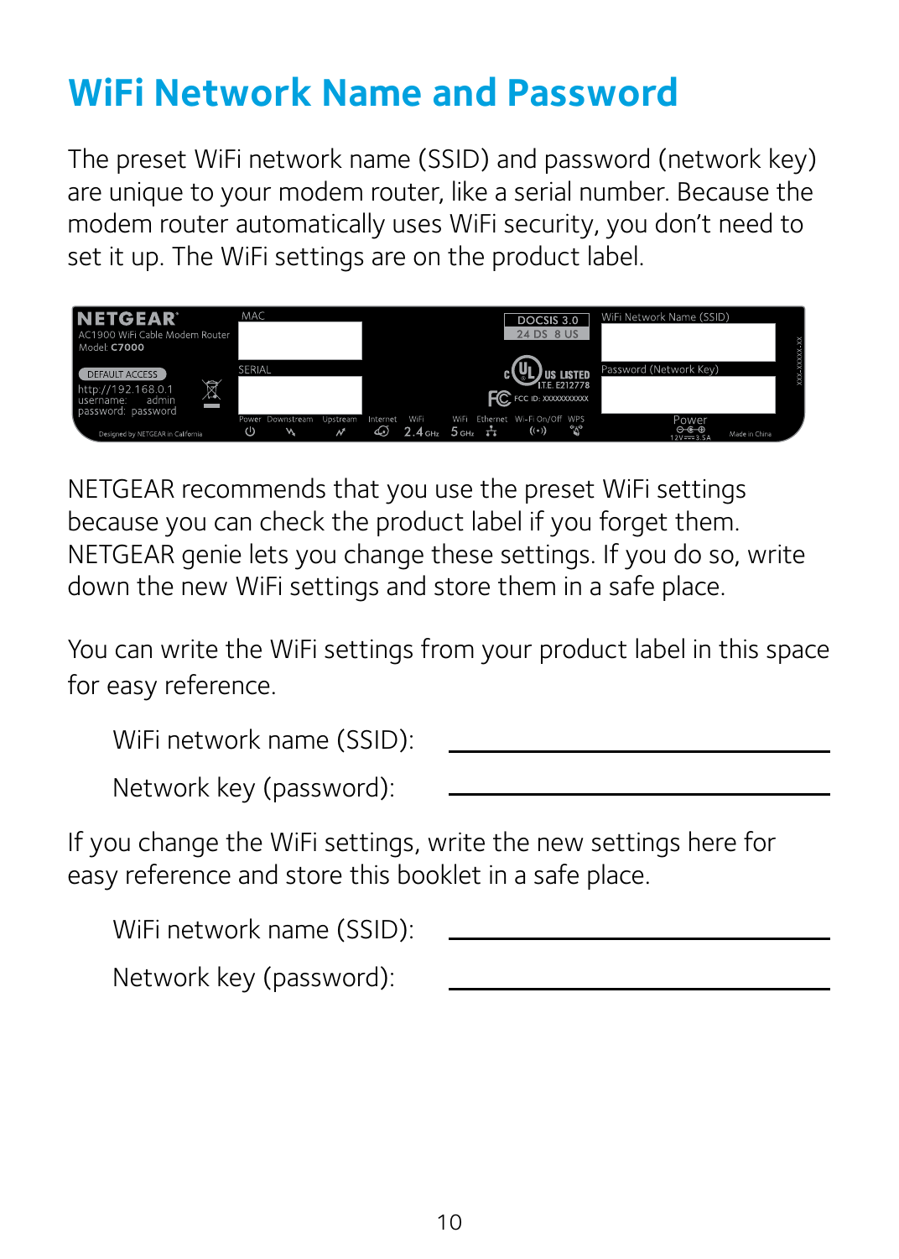### <span id="page-11-0"></span>**WiFi Network Name and Password**

The preset WiFi network name (SSID) and password (network key) are unique to your modem router, like a serial number. Because the modem router automatically uses WiFi security, you don't need to set it up. The WiFi settings are on the product label.



NETGEAR recommends that you use the preset WiFi settings because you can check the product label if you forget them. NETGEAR genie lets you change these settings. If you do so, write down the new WiFi settings and store them in a safe place.

You can write the WiFi settings from your product label in this space for easy reference.

| WiFi network name (SSID): |  |
|---------------------------|--|
| Network key (password):   |  |

If you change the WiFi settings, write the new settings here for easy reference and store this booklet in a safe place.

| WiFi network name (SSID): |  |
|---------------------------|--|
| Network key (password):   |  |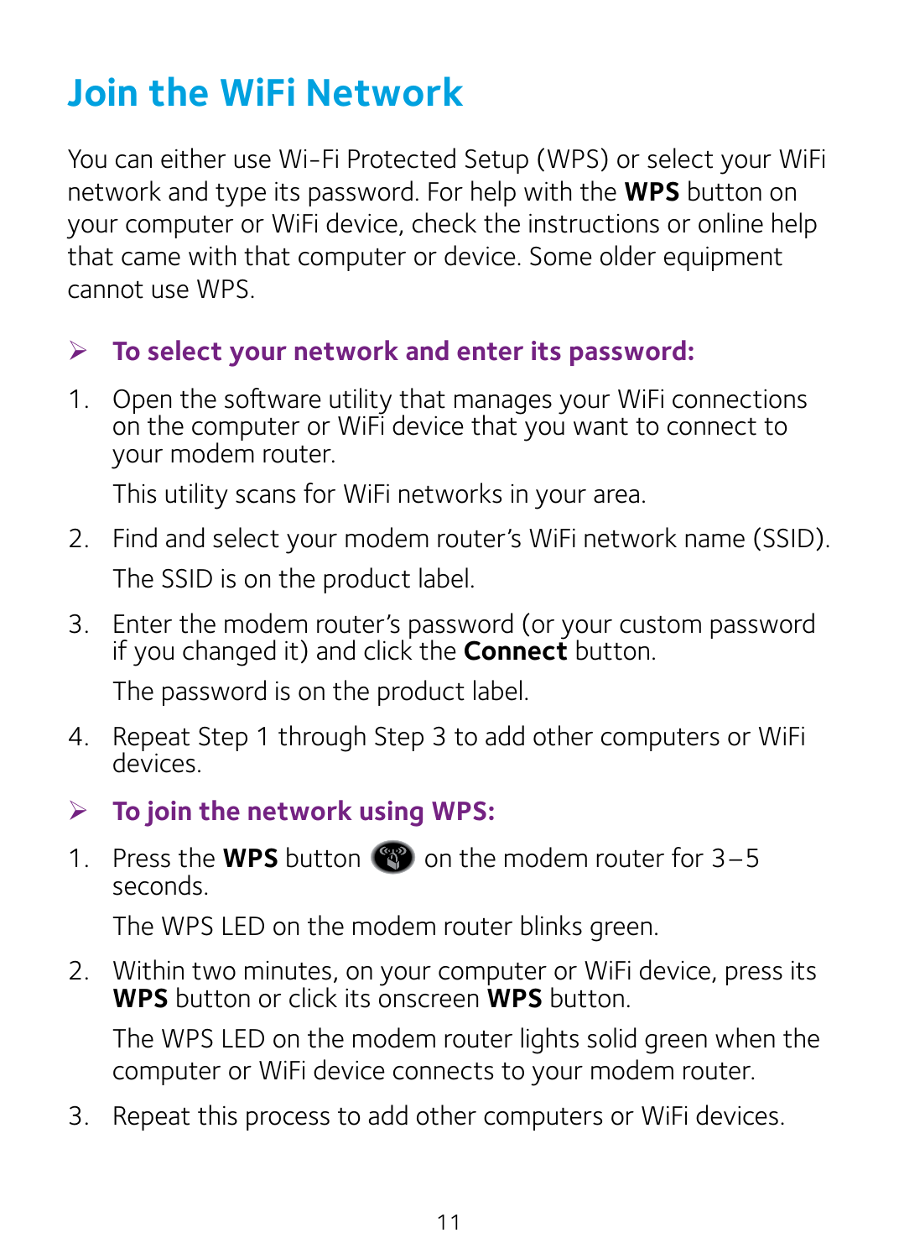# <span id="page-12-0"></span>**Join the WiFi Network**

You can either use Wi-Fi Protected Setup (WPS) or select your WiFi network and type its password. For help with the **WPS** button on your computer or WiFi device, check the instructions or online help that came with that computer or device. Some older equipment cannot use WPS.

#### ¾ **To select your network and enter its password:**

1. Open the software utility that manages your WiFi connections on the computer or WiFi device that you want to connect to your modem router.

This utility scans for WiFi networks in your area.

- 2. Find and select your modem router's WiFi network name (SSID). The SSID is on the product label.
- 3. Enter the modem router's password (or your custom password if you changed it) and click the **Connect** button.

The password is on the product label.

4. Repeat Step 1 through Step 3 to add other computers or WiFi devices.

#### ¾ **To join the network using WPS:**

1. Press the **WPS** button  $\bullet\bullet$  on the modem router for  $3-5$ seconds.

The WPS LED on the modem router blinks green.

2. Within two minutes, on your computer or WiFi device, press its **WPS** button or click its onscreen **WPS** button.

The WPS LED on the modem router lights solid green when the computer or WiFi device connects to your modem router.

3. Repeat this process to add other computers or WiFi devices.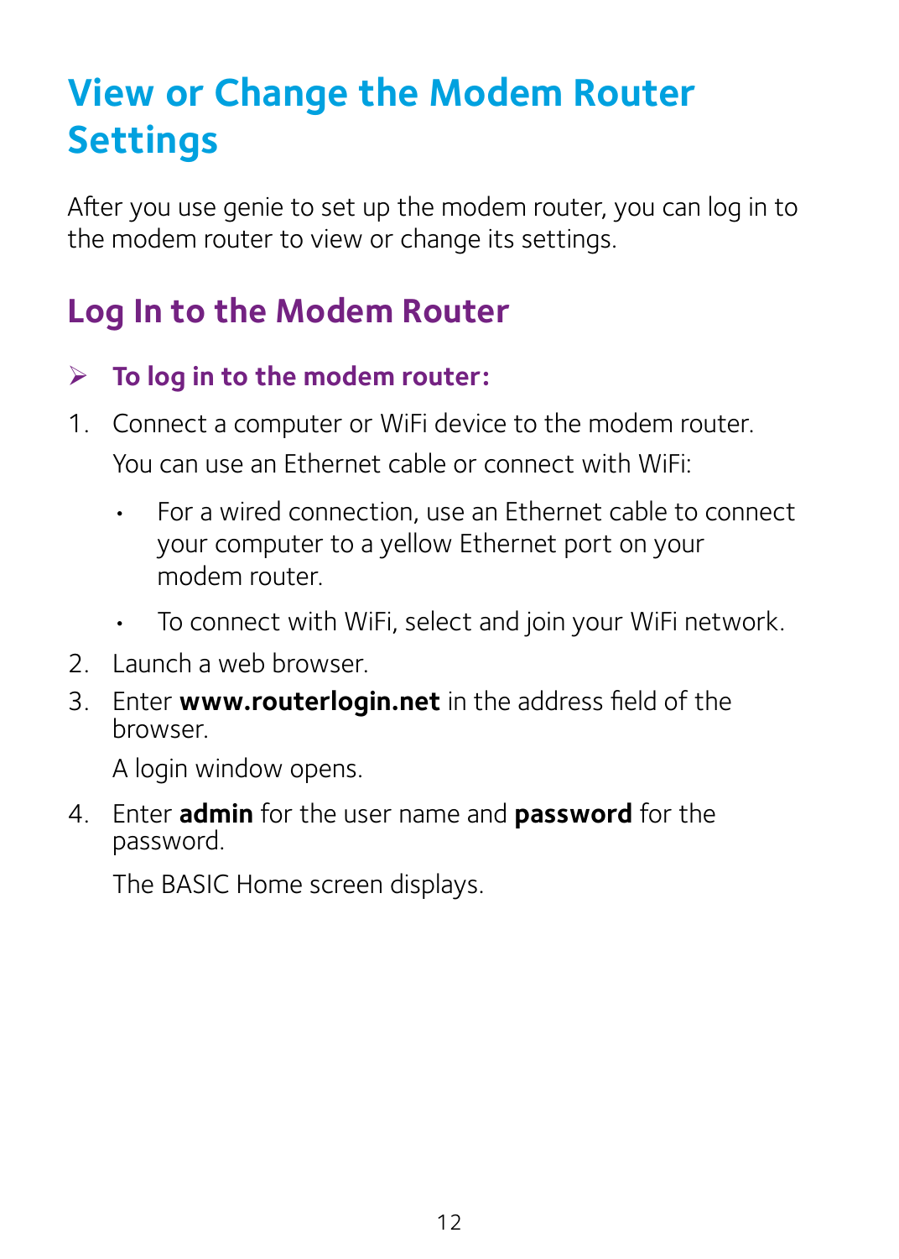# <span id="page-13-0"></span>**View or Change the Modem Router Settings**

After you use genie to set up the modem router, you can log in to the modem router to view or change its settings.

### **Log In to the Modem Router**

#### ¾ **To log in to the modem router:**

- 1. Connect a computer or WiFi device to the modem router. You can use an Ethernet cable or connect with WiFi:
	- For a wired connection, use an Ethernet cable to connect your computer to a yellow Ethernet port on your modem router.
	- To connect with WiFi, select and join your WiFi network.
- 2. Launch a web browser.
- 3. Enter **www.routerlogin.net** in the address field of the browser.

A login window opens.

4. Enter **admin** for the user name and **password** for the password.

The BASIC Home screen displays.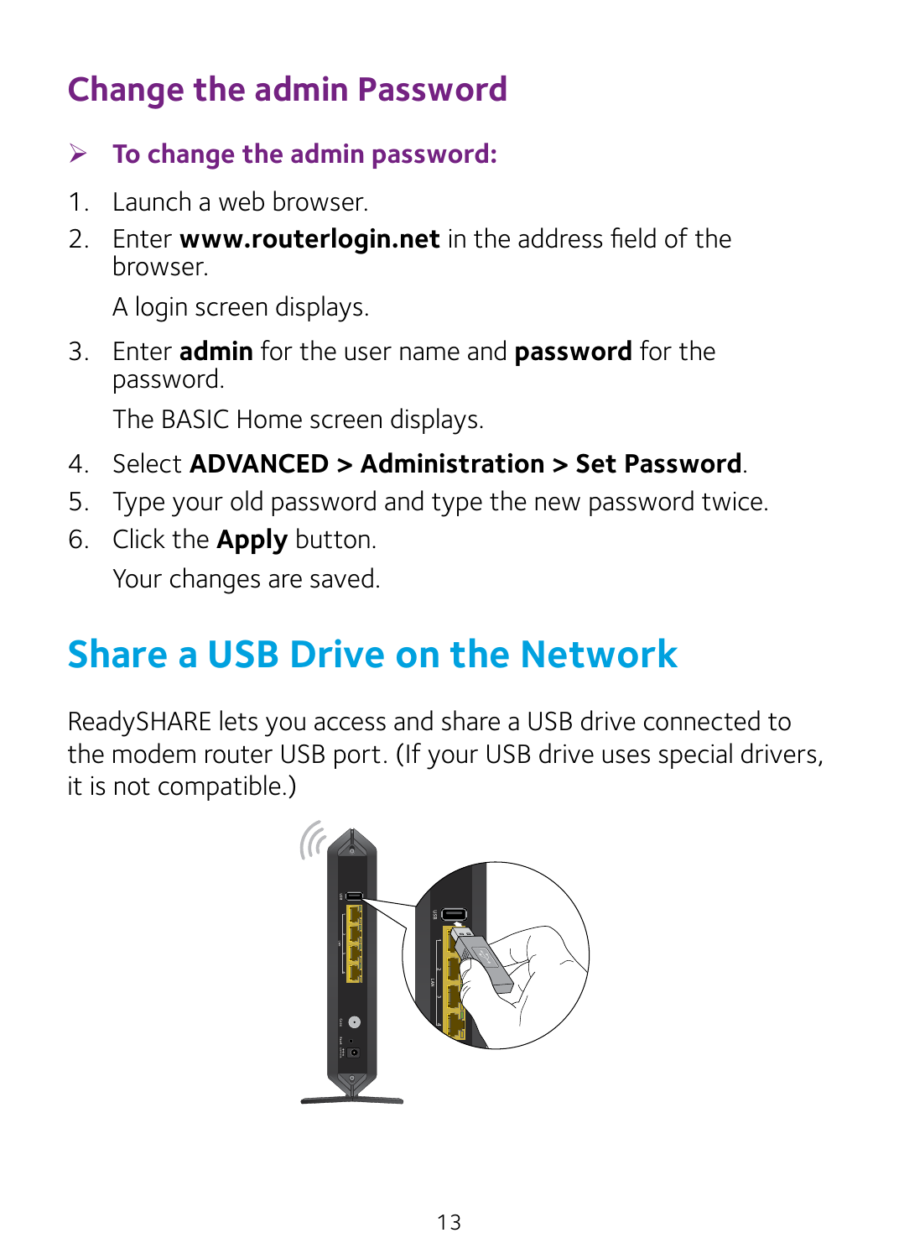### <span id="page-14-0"></span>**Change the admin Password**

¾ **To change the admin password:**

- 1. Launch a web browser.
- 2. Enter **www.routerlogin.net** in the address field of the browser.

A login screen displays.

3. Enter **admin** for the user name and **password** for the password.

The BASIC Home screen displays.

- 4. Select **ADVANCED > Administration > Set Password**.
- 5. Type your old password and type the new password twice.
- 6. Click the **Apply** button. Your changes are saved.

# **Share a USB Drive on the Network**

ReadySHARE lets you access and share a USB drive connected to the modem router USB port. (If your USB drive uses special drivers, it is not compatible.)

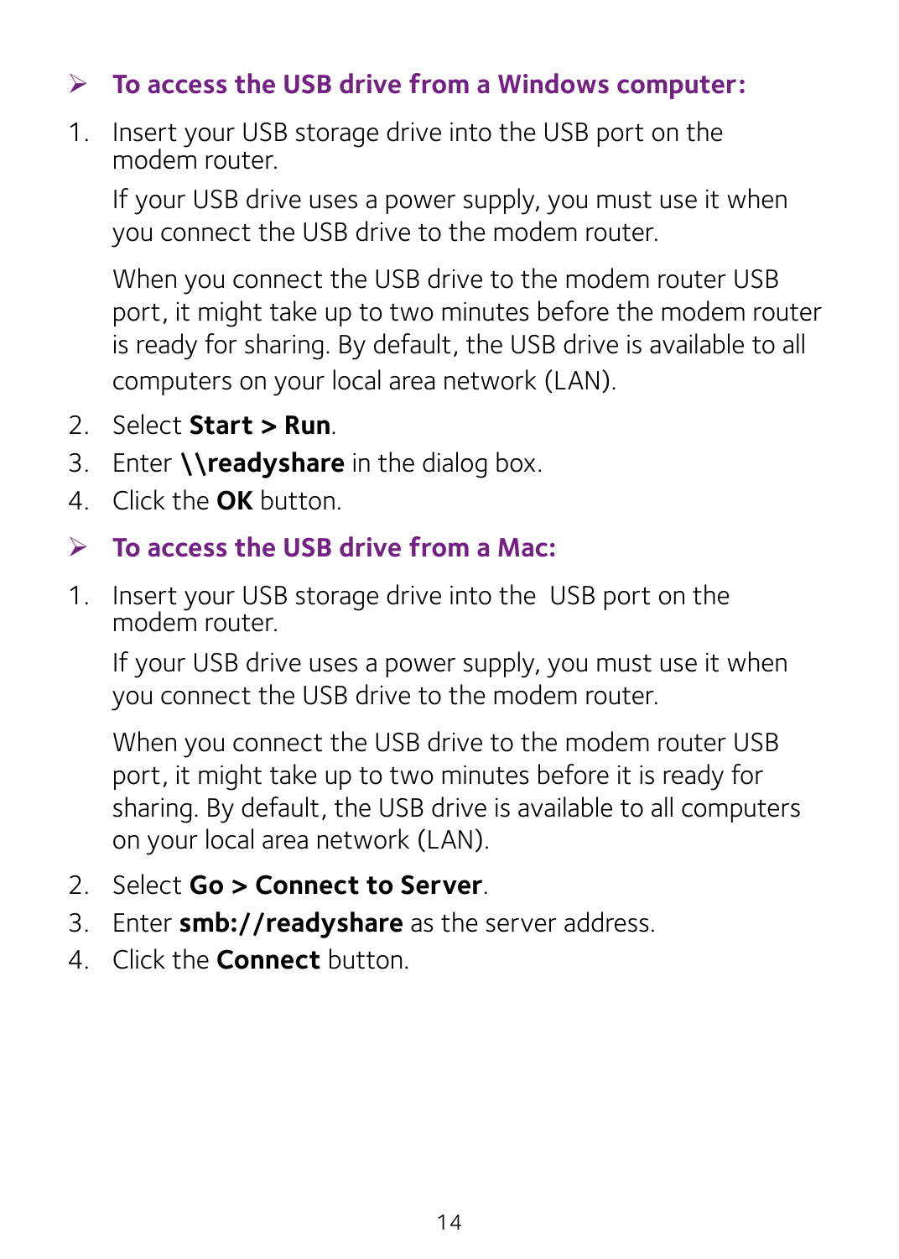#### ¾ **To access the USB drive from a Windows computer:**

1. Insert your USB storage drive into the USB port on the modem router.

If your USB drive uses a power supply, you must use it when you connect the USB drive to the modem router.

When you connect the USB drive to the modem router USB port, it might take up to two minutes before the modem router is ready for sharing. By default, the USB drive is available to all computers on your local area network (LAN).

- 2. Select **Start > Run**.
- 3. Enter **\\readyshare** in the dialog box.
- 4. Click the **OK** button.

#### ¾ **To access the USB drive from a Mac:**

1. Insert your USB storage drive into the USB port on the modem router.

If your USB drive uses a power supply, you must use it when you connect the USB drive to the modem router.

When you connect the USB drive to the modem router USB port, it might take up to two minutes before it is ready for sharing. By default, the USB drive is available to all computers on your local area network (LAN).

- 2. Select **Go > Connect to Server**.
- 3. Enter **smb://readyshare** as the server address.
- 4. Click the **Connect** button.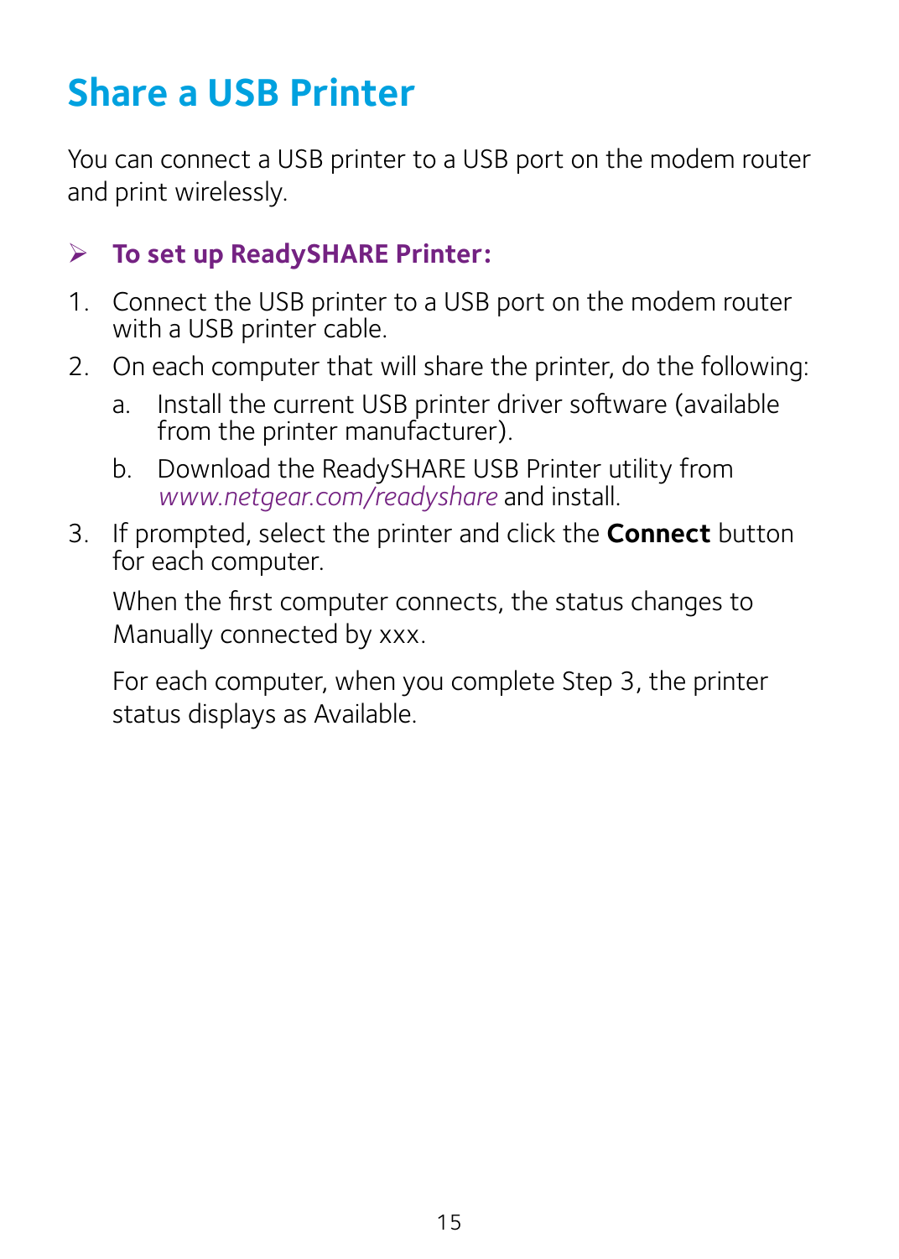### <span id="page-16-0"></span>**Share a USB Printer**

You can connect a USB printer to a USB port on the modem router and print wirelessly.

#### ¾ **To set up ReadySHARE Printer:**

- 1. Connect the USB printer to a USB port on the modem router with a USB printer cable.
- 2. On each computer that will share the printer, do the following:
	- a. Install the current USB printer driver software (available from the printer manufacturer).
	- b. Download the ReadySHARE USB Printer utility from *www.netgear.com/readyshare* and install.
- 3. If prompted, select the printer and click the **Connect** button for each computer.

When the first computer connects, the status changes to Manually connected by xxx.

For each computer, when you complete Step 3, the printer status displays as Available.